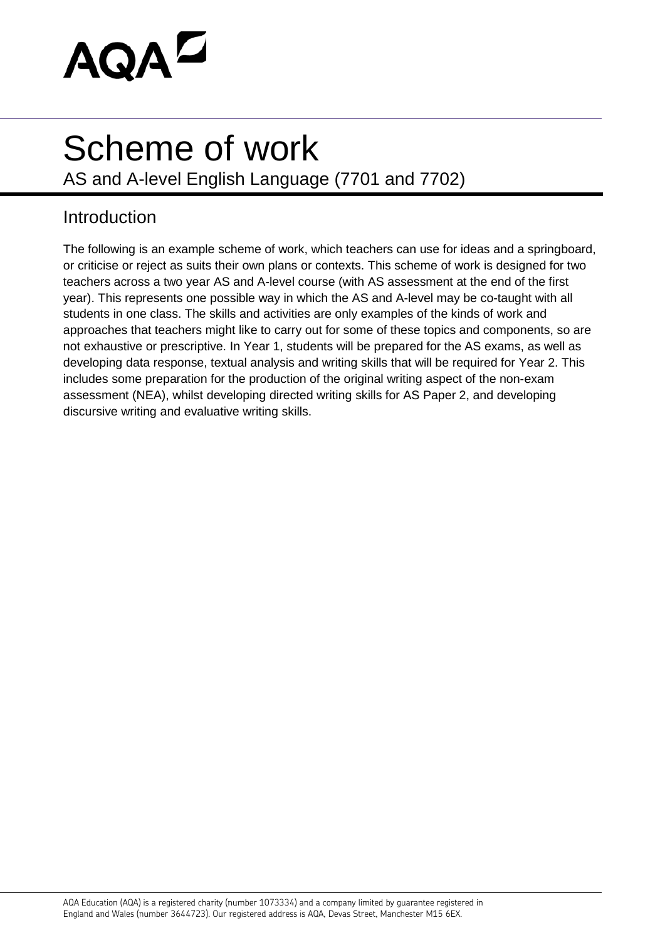

## Scheme of work

AS and A-level English Language (7701 and 7702)

## Introduction

The following is an example scheme of work, which teachers can use for ideas and a springboard, or criticise or reject as suits their own plans or contexts. This scheme of work is designed for two teachers across a two year AS and A-level course (with AS assessment at the end of the first year). This represents one possible way in which the AS and A-level may be co-taught with all students in one class. The skills and activities are only examples of the kinds of work and approaches that teachers might like to carry out for some of these topics and components, so are not exhaustive or prescriptive. In Year 1, students will be prepared for the AS exams, as well as developing data response, textual analysis and writing skills that will be required for Year 2. This includes some preparation for the production of the original writing aspect of the non-exam assessment (NEA), whilst developing directed writing skills for AS Paper 2, and developing discursive writing and evaluative writing skills.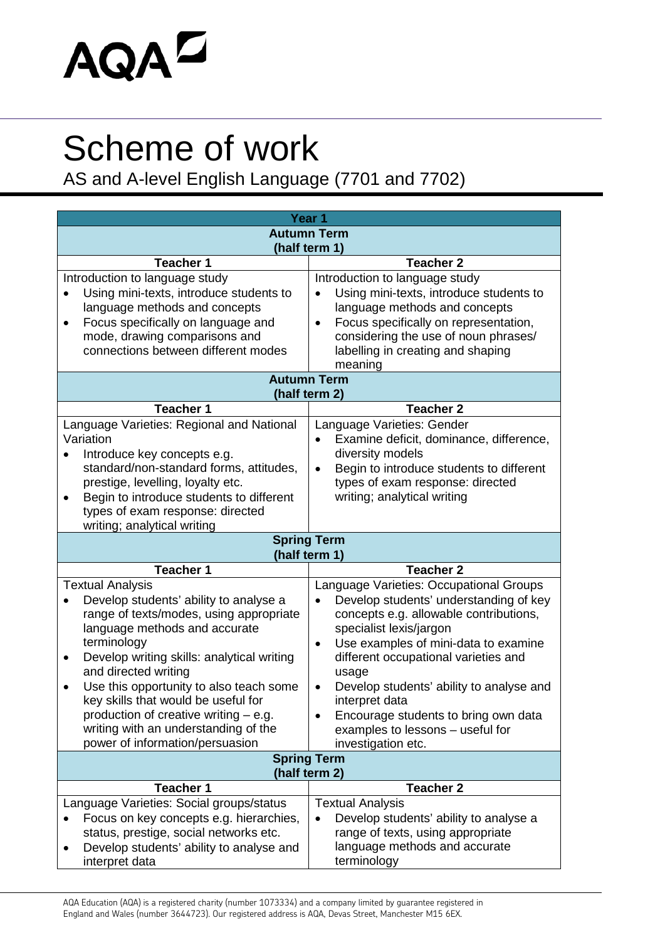## AQAD

## Scheme of work

AS and A-level English Language (7701 and 7702)

| Year <sub>1</sub>                                                            |                                                                          |  |
|------------------------------------------------------------------------------|--------------------------------------------------------------------------|--|
| <b>Autumn Term</b>                                                           |                                                                          |  |
| (half term 1)                                                                |                                                                          |  |
| <b>Teacher 1</b>                                                             | <b>Teacher 2</b>                                                         |  |
| Introduction to language study                                               | Introduction to language study                                           |  |
| Using mini-texts, introduce students to                                      | Using mini-texts, introduce students to                                  |  |
| language methods and concepts                                                | language methods and concepts                                            |  |
| Focus specifically on language and<br>$\bullet$                              | Focus specifically on representation,<br>$\bullet$                       |  |
| mode, drawing comparisons and                                                | considering the use of noun phrases/                                     |  |
| connections between different modes                                          | labelling in creating and shaping                                        |  |
|                                                                              | meaning<br><b>Autumn Term</b>                                            |  |
|                                                                              | (half term 2)                                                            |  |
| <b>Teacher 1</b>                                                             | <b>Teacher 2</b>                                                         |  |
| Language Varieties: Regional and National                                    | Language Varieties: Gender                                               |  |
| Variation                                                                    | Examine deficit, dominance, difference,                                  |  |
| Introduce key concepts e.g.                                                  | diversity models                                                         |  |
| standard/non-standard forms, attitudes,                                      | Begin to introduce students to different<br>$\bullet$                    |  |
| prestige, levelling, loyalty etc.                                            | types of exam response: directed                                         |  |
| Begin to introduce students to different                                     | writing; analytical writing                                              |  |
| types of exam response: directed                                             |                                                                          |  |
| writing; analytical writing                                                  |                                                                          |  |
|                                                                              | <b>Spring Term</b><br>(half term 1)                                      |  |
| <b>Teacher 1</b>                                                             | <b>Teacher 2</b>                                                         |  |
| <b>Textual Analysis</b>                                                      | Language Varieties: Occupational Groups                                  |  |
| Develop students' ability to analyse a                                       | Develop students' understanding of key                                   |  |
| range of texts/modes, using appropriate                                      | concepts e.g. allowable contributions,                                   |  |
| language methods and accurate                                                | specialist lexis/jargon                                                  |  |
| terminology                                                                  | Use examples of mini-data to examine<br>$\bullet$                        |  |
| Develop writing skills: analytical writing<br>$\bullet$                      | different occupational varieties and                                     |  |
| and directed writing                                                         | usage                                                                    |  |
| Use this opportunity to also teach some                                      | Develop students' ability to analyse and<br>$\bullet$                    |  |
| key skills that would be useful for<br>production of creative writing – e.g. | interpret data                                                           |  |
| writing with an understanding of the                                         | Encourage students to bring own data<br>examples to lessons - useful for |  |
| power of information/persuasion                                              | investigation etc.                                                       |  |
|                                                                              | <b>Spring Term</b>                                                       |  |
| (half term 2)                                                                |                                                                          |  |
| <b>Teacher 1</b>                                                             | <b>Teacher 2</b>                                                         |  |
|                                                                              |                                                                          |  |
| Language Varieties: Social groups/status                                     | <b>Textual Analysis</b>                                                  |  |
| Focus on key concepts e.g. hierarchies,                                      | Develop students' ability to analyse a                                   |  |
| status, prestige, social networks etc.                                       | range of texts, using appropriate                                        |  |
| Develop students' ability to analyse and<br>٠<br>interpret data              | language methods and accurate<br>terminology                             |  |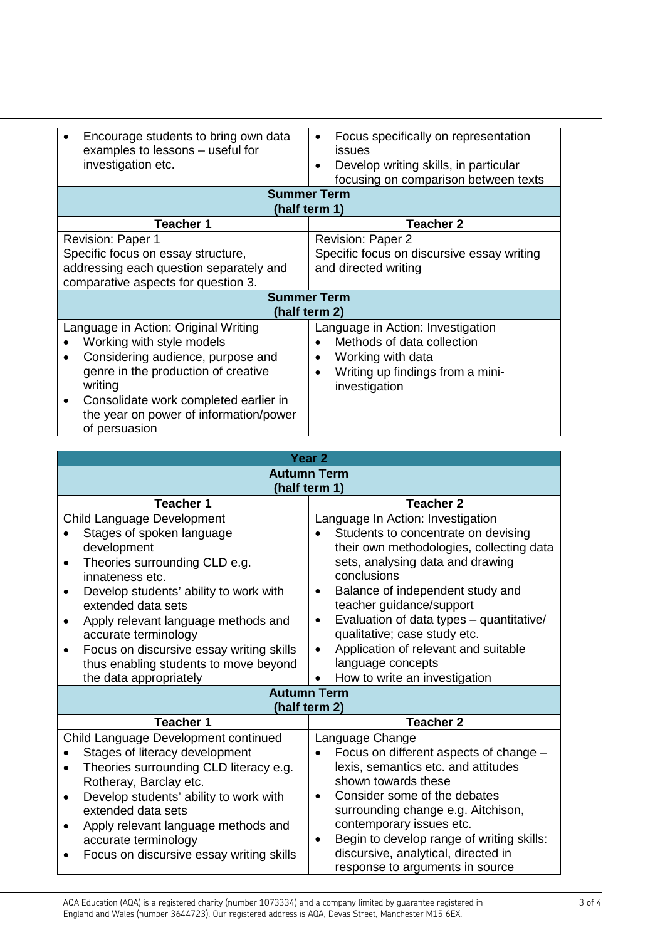| Encourage students to bring own data<br>examples to lessons - useful for<br>investigation etc. | Focus specifically on representation<br>$\bullet$<br>issues<br>Develop writing skills, in particular<br>$\bullet$<br>focusing on comparison between texts |  |
|------------------------------------------------------------------------------------------------|-----------------------------------------------------------------------------------------------------------------------------------------------------------|--|
| <b>Summer Term</b><br>(half term 1)                                                            |                                                                                                                                                           |  |
| <b>Teacher 1</b>                                                                               | <b>Teacher 2</b>                                                                                                                                          |  |
| <b>Revision: Paper 1</b>                                                                       | <b>Revision: Paper 2</b>                                                                                                                                  |  |
| Specific focus on essay structure,                                                             | Specific focus on discursive essay writing                                                                                                                |  |
| addressing each question separately and                                                        | and directed writing                                                                                                                                      |  |
| comparative aspects for question 3.                                                            |                                                                                                                                                           |  |
| <b>Summer Term</b>                                                                             |                                                                                                                                                           |  |
| (half term 2)                                                                                  |                                                                                                                                                           |  |
| Language in Action: Original Writing                                                           | Language in Action: Investigation                                                                                                                         |  |
| Working with style models                                                                      | Methods of data collection                                                                                                                                |  |
| Considering audience, purpose and<br>$\bullet$                                                 | Working with data<br>$\bullet$                                                                                                                            |  |
| genre in the production of creative                                                            | Writing up findings from a mini-<br>$\bullet$                                                                                                             |  |
| writing                                                                                        | investigation                                                                                                                                             |  |
| Consolidate work completed earlier in<br>٠                                                     |                                                                                                                                                           |  |
| the year on power of information/power                                                         |                                                                                                                                                           |  |
| of persuasion                                                                                  |                                                                                                                                                           |  |

| Year <sub>2</sub>                                     |                                                                                               |  |
|-------------------------------------------------------|-----------------------------------------------------------------------------------------------|--|
| <b>Autumn Term</b>                                    |                                                                                               |  |
| (half term 1)                                         |                                                                                               |  |
| <b>Teacher 1</b>                                      | <b>Teacher 2</b>                                                                              |  |
| Child Language Development                            | Language In Action: Investigation                                                             |  |
| Stages of spoken language                             | Students to concentrate on devising                                                           |  |
| development                                           | their own methodologies, collecting data                                                      |  |
| Theories surrounding CLD e.g.                         | sets, analysing data and drawing                                                              |  |
| innateness etc.                                       | conclusions                                                                                   |  |
| Develop students' ability to work with                | Balance of independent study and                                                              |  |
| extended data sets                                    | teacher guidance/support                                                                      |  |
| Apply relevant language methods and                   | Evaluation of data types - quantitative/<br>$\bullet$                                         |  |
| accurate terminology                                  | qualitative; case study etc.                                                                  |  |
| Focus on discursive essay writing skills<br>$\bullet$ | Application of relevant and suitable                                                          |  |
| thus enabling students to move beyond                 | language concepts                                                                             |  |
| the data appropriately                                | How to write an investigation                                                                 |  |
|                                                       | <b>Autumn Term</b>                                                                            |  |
|                                                       | (half term 2)                                                                                 |  |
| <b>Teacher 1</b>                                      | <b>Teacher 2</b>                                                                              |  |
| Child Language Development continued                  | Language Change                                                                               |  |
| Stages of literacy development                        | Focus on different aspects of change -                                                        |  |
| Theories surrounding CLD literacy e.g.<br>$\bullet$   | lexis, semantics etc. and attitudes                                                           |  |
| Rotheray, Barclay etc.                                | shown towards these                                                                           |  |
| Develop students' ability to work with                | Consider some of the debates<br>$\bullet$                                                     |  |
| extended data sets                                    | surrounding change e.g. Aitchison,                                                            |  |
| Apply relevant language methods and<br>$\bullet$      | contemporary issues etc.                                                                      |  |
| accurate terminology                                  | Begin to develop range of writing skills:<br>$\bullet$<br>discursive, analytical, directed in |  |
| Focus on discursive essay writing skills              | response to arguments in source                                                               |  |